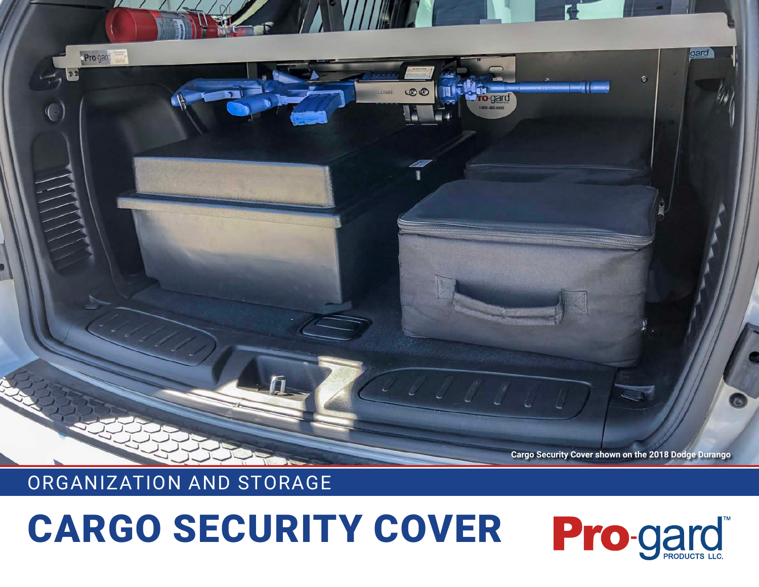## CARGO SECURITY COVER



## ORGANIZATION AND STORAGE